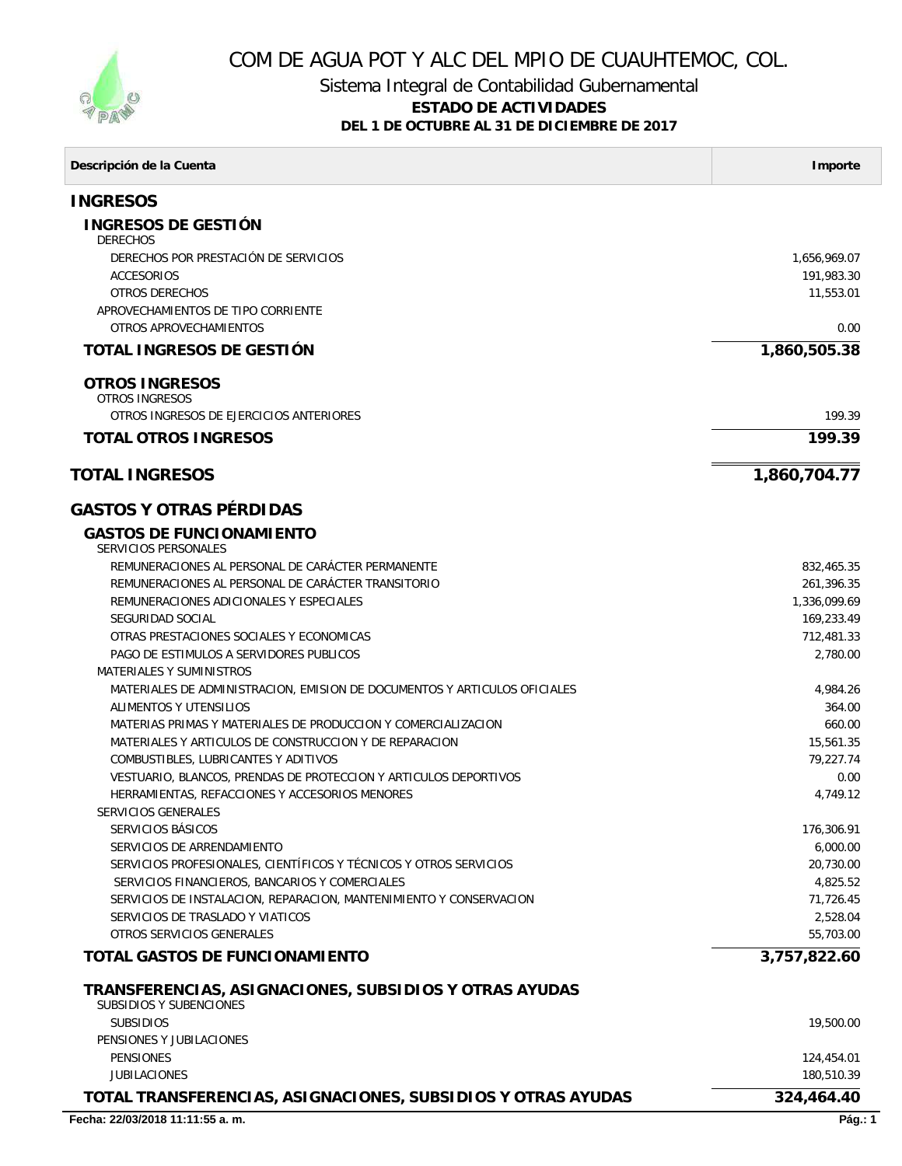

## COM DE AGUA POT Y ALC DEL MPIO DE CUAUHTEMOC, COL.

## Sistema Integral de Contabilidad Gubernamental

## **ESTADO DE ACTIVIDADES**

**DEL 1 DE OCTUBRE AL 31 DE DICIEMBRE DE 2017**

| Descripción de la Cuenta                                                                 | Importe      |
|------------------------------------------------------------------------------------------|--------------|
| <b>INGRESOS</b>                                                                          |              |
| INGRESOS DE GESTIÓN<br><b>DERECHOS</b>                                                   |              |
| DERECHOS POR PRESTACIÓN DE SERVICIOS                                                     | 1,656,969.07 |
| <b>ACCESORIOS</b>                                                                        | 191,983.30   |
| OTROS DERECHOS                                                                           | 11,553.01    |
| APROVECHAMIENTOS DE TIPO CORRIENTE                                                       |              |
| OTROS APROVECHAMIENTOS                                                                   | 0.00         |
| TOTAL INGRESOS DE GESTIÓN                                                                | 1,860,505.38 |
| <b>OTROS INGRESOS</b><br><b>OTROS INGRESOS</b>                                           |              |
| OTROS INGRESOS DE EJERCICIOS ANTERIORES                                                  | 199.39       |
|                                                                                          |              |
| <b>TOTAL OTROS INGRESOS</b>                                                              | 199.39       |
| <b>TOTAL INGRESOS</b>                                                                    | 1,860,704.77 |
| <b>GASTOS Y OTRAS PÉRDIDAS</b>                                                           |              |
| <b>GASTOS DE FUNCIONAMIENTO</b><br><b>SERVICIOS PERSONALES</b>                           |              |
| REMUNERACIONES AL PERSONAL DE CARÁCTER PERMANENTE                                        | 832,465.35   |
| REMUNERACIONES AL PERSONAL DE CARÁCTER TRANSITORIO                                       | 261,396.35   |
| REMUNERACIONES ADICIONALES Y ESPECIALES                                                  | 1,336,099.69 |
| SEGURIDAD SOCIAL                                                                         | 169,233.49   |
| OTRAS PRESTACIONES SOCIALES Y ECONOMICAS                                                 | 712,481.33   |
| PAGO DE ESTIMULOS A SERVIDORES PUBLICOS                                                  | 2,780.00     |
| <b>MATERIALES Y SUMINISTROS</b>                                                          |              |
| MATERIALES DE ADMINISTRACION, EMISION DE DOCUMENTOS Y ARTICULOS OFICIALES                | 4,984.26     |
| ALIMENTOS Y UTENSILIOS                                                                   | 364.00       |
| MATERIAS PRIMAS Y MATERIALES DE PRODUCCION Y COMERCIALIZACION                            | 660.00       |
| MATERIALES Y ARTICULOS DE CONSTRUCCION Y DE REPARACION                                   | 15,561.35    |
| COMBUSTIBLES, LUBRICANTES Y ADITIVOS                                                     | 79,227.74    |
| VESTUARIO, BLANCOS, PRENDAS DE PROTECCION Y ARTICULOS DEPORTIVOS                         | 0.00         |
| HERRAMIENTAS, REFACCIONES Y ACCESORIOS MENORES<br><i>SERVICIOS GENERALES</i>             | 4,749.12     |
| SERVICIOS BÁSICOS                                                                        | 176,306.91   |
| SERVICIOS DE ARRENDAMIENTO                                                               | 6,000.00     |
| SERVICIOS PROFESIONALES, CIENTÍFICOS Y TÉCNICOS Y OTROS SERVICIOS                        | 20,730.00    |
| SERVICIOS FINANCIEROS, BANCARIOS Y COMERCIALES                                           | 4,825.52     |
| SERVICIOS DE INSTALACION, REPARACION, MANTENIMIENTO Y CONSERVACION                       | 71,726.45    |
| SERVICIOS DE TRASLADO Y VIATICOS                                                         | 2,528.04     |
| OTROS SERVICIOS GENERALES                                                                | 55,703.00    |
| TOTAL GASTOS DE FUNCIONAMIENTO                                                           | 3,757,822.60 |
| TRANSFERENCIAS, ASIGNACIONES, SUBSIDIOS Y OTRAS AYUDAS<br><b>SUBSIDIOS Y SUBENCIONES</b> |              |
| <b>SUBSIDIOS</b>                                                                         | 19,500.00    |
| PENSIONES Y JUBILACIONES                                                                 |              |
| <b>PENSIONES</b>                                                                         | 124,454.01   |
| <b>JUBILACIONES</b>                                                                      | 180,510.39   |
| TOTAL TRANSFERENCIAS, ASIGNACIONES, SUBSIDIOS Y OTRAS AYUDAS                             | 324,464.40   |
| Fecha: 22/03/2018 11:11:55 a.m.                                                          | Pág.: 1      |